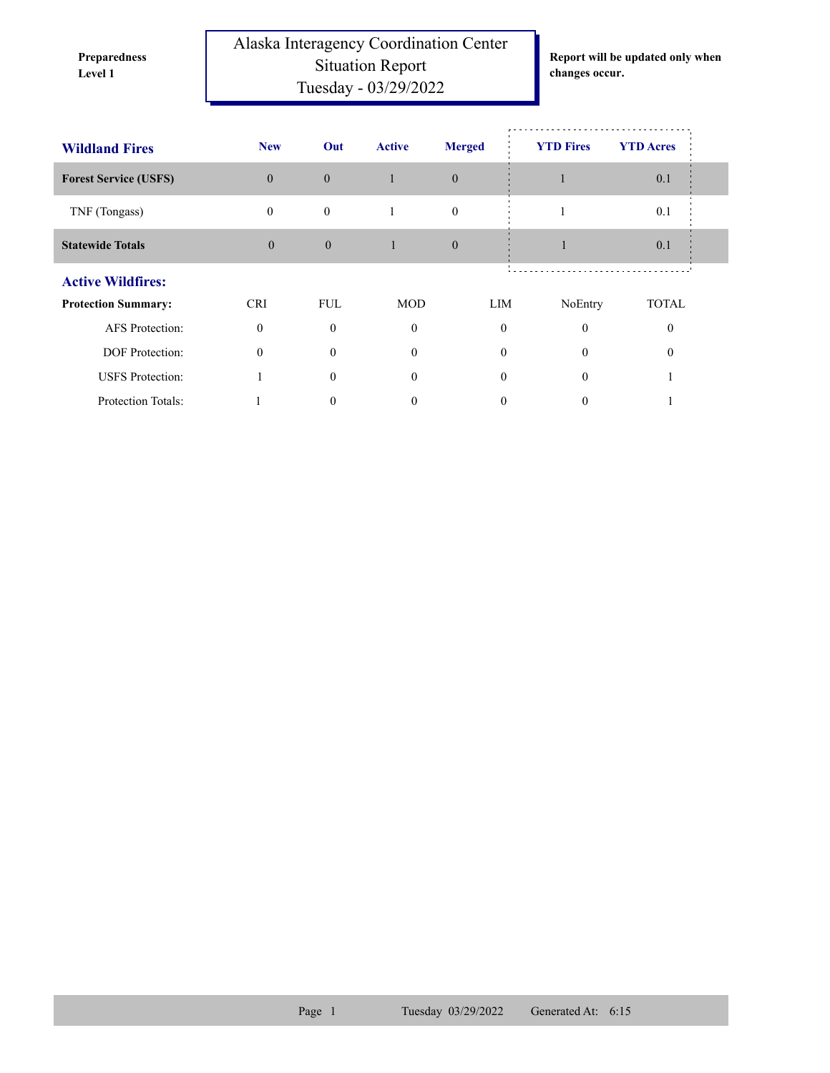**Preparedness** 

Alaska Interagency Coordination Center Situation Report **Level 1 changes occur.** Tuesday - 03/29/2022

**Report will be updated only when** 

| <b>Wildland Fires</b>        | <b>New</b>   | Out          | <b>Active</b> | <b>Merged</b> | <b>YTD Fires</b> | <b>YTD</b> Acres |  |  |
|------------------------------|--------------|--------------|---------------|---------------|------------------|------------------|--|--|
| <b>Forest Service (USFS)</b> | $\mathbf{0}$ | $\mathbf{0}$ |               | $\theta$      |                  | 0.1              |  |  |
| TNF (Tongass)                | $\mathbf{0}$ | $\mathbf{0}$ |               | $\mathbf{0}$  |                  | 0.1              |  |  |
| <b>Statewide Totals</b>      | $\mathbf{0}$ | $\theta$     | 1             | $\theta$      |                  | 0.1              |  |  |
| <b>Active Wildfires:</b>     |              |              |               |               |                  |                  |  |  |
| <b>Protection Summary:</b>   | <b>CRI</b>   | <b>FUL</b>   | <b>MOD</b>    | LIM           | NoEntry          | <b>TOTAL</b>     |  |  |
| <b>AFS</b> Protection:       | $\Omega$     | $\theta$     | $\mathbf{0}$  | $\theta$      | $\theta$         |                  |  |  |
| <b>DOF</b> Protection:       | $\Omega$     | $\Omega$     | $\theta$      | $\Omega$      | $\theta$         |                  |  |  |
| <b>USFS</b> Protection:      |              | $\Omega$     | $\theta$      | $\theta$      | $\Omega$         |                  |  |  |
| Protection Totals:           |              | $_{0}$       | 0             | 0             | 0                |                  |  |  |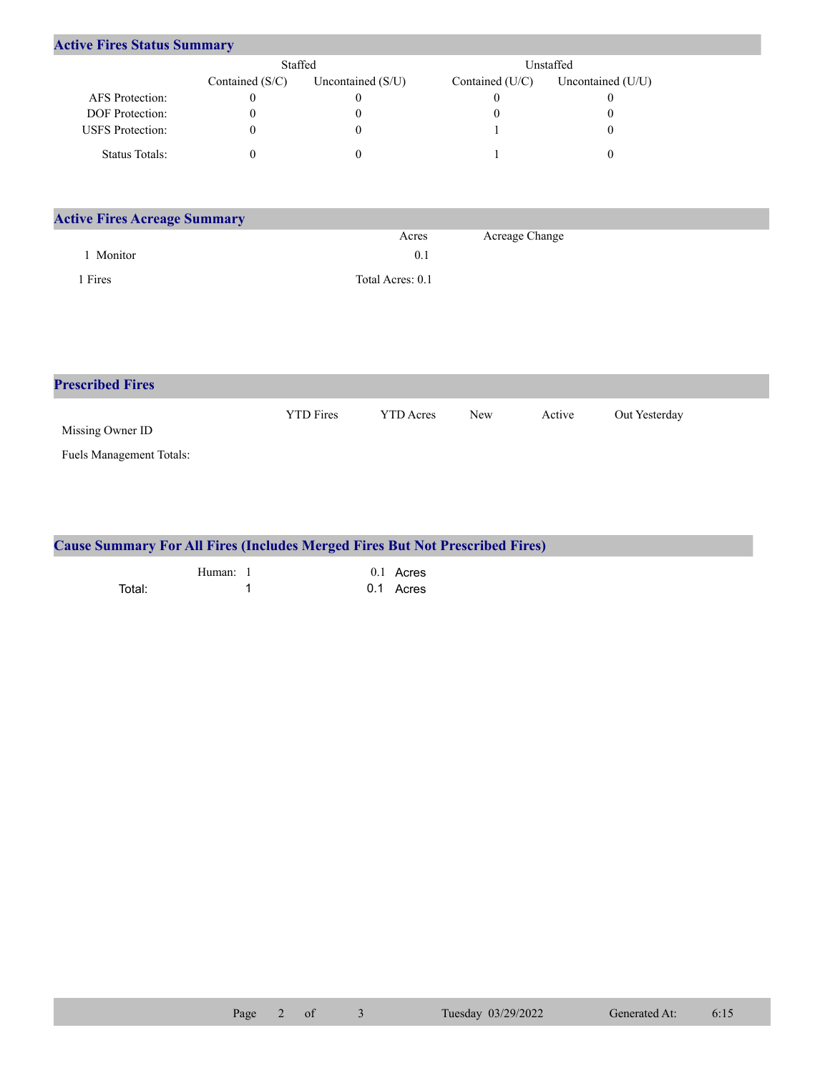| <b>Active Fires Status Summary</b> |                   |                     |                 |                   |  |  |  |  |
|------------------------------------|-------------------|---------------------|-----------------|-------------------|--|--|--|--|
|                                    | Staffed           |                     |                 | Unstaffed         |  |  |  |  |
|                                    | Contained $(S/C)$ | Uncontained $(S/U)$ | Contained (U/C) | Uncontained (U/U) |  |  |  |  |
| <b>AFS</b> Protection:             | 0                 |                     |                 |                   |  |  |  |  |
| <b>DOF</b> Protection:             |                   |                     |                 |                   |  |  |  |  |
| <b>USFS</b> Protection:            | 0                 |                     |                 |                   |  |  |  |  |
| Status Totals:                     |                   |                     |                 |                   |  |  |  |  |

| <b>Active Fires Acreage Summary</b> |                  |                |  |  |  |  |
|-------------------------------------|------------------|----------------|--|--|--|--|
|                                     | Acres            | Acreage Change |  |  |  |  |
| Monitor                             | 0.1              |                |  |  |  |  |
| Fires                               | Total Acres: 0.1 |                |  |  |  |  |

| <b>Prescribed Fires</b>  |                  |                  |            |        |               |
|--------------------------|------------------|------------------|------------|--------|---------------|
| Missing Owner ID         | <b>YTD</b> Fires | <b>YTD</b> Acres | <b>New</b> | Active | Out Yesterday |
| Fuels Management Totals: |                  |                  |            |        |               |

| <b>Cause Summary For All Fires (Includes Merged Fires But Not Prescribed Fires)</b> |  |  |             |  |  |  |
|-------------------------------------------------------------------------------------|--|--|-------------|--|--|--|
| Human:                                                                              |  |  | $0.1$ Acres |  |  |  |
| Total:                                                                              |  |  | 0.1 Acres   |  |  |  |